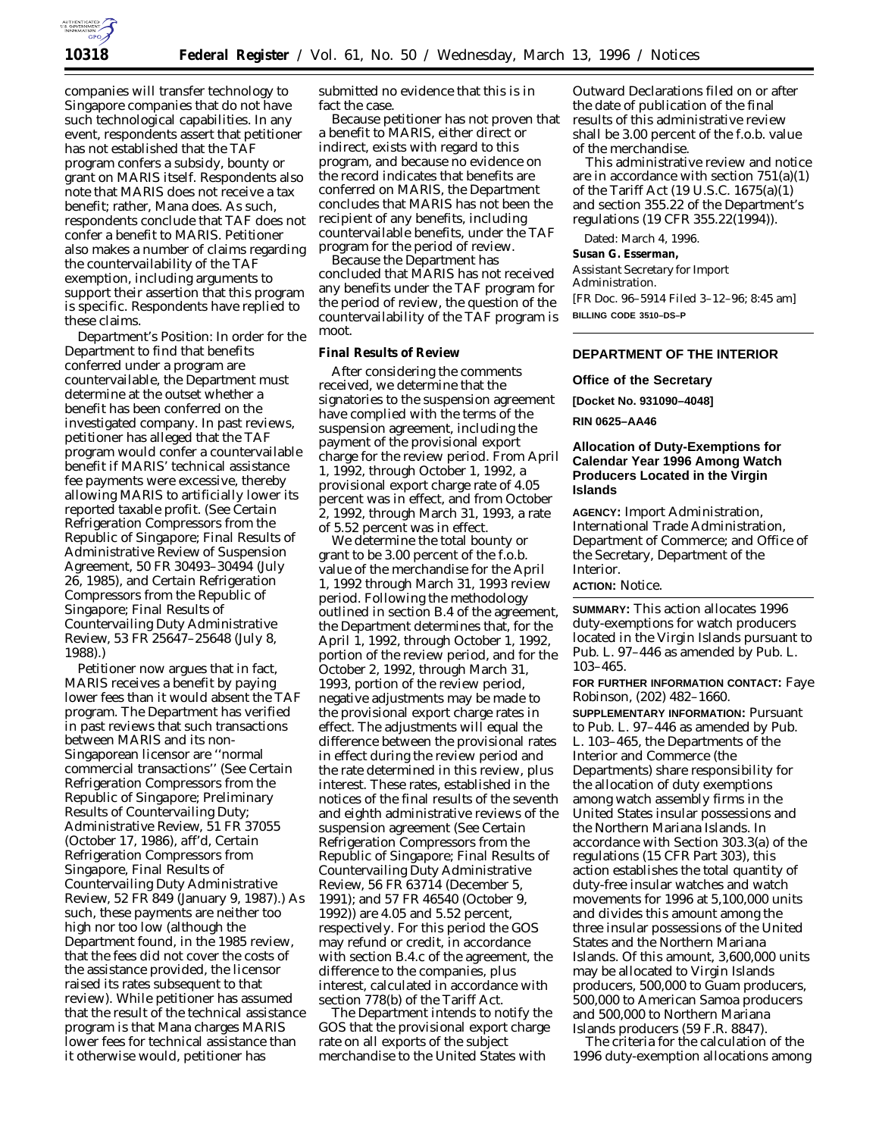

companies will transfer technology to Singapore companies that do not have such technological capabilities. In any event, respondents assert that petitioner has not established that the TAF program confers a subsidy, bounty or grant on MARIS itself. Respondents also note that MARIS does not receive a tax benefit; rather, Mana does. As such, respondents conclude that TAF does not confer a benefit to MARIS. Petitioner also makes a number of claims regarding the *countervailability* of the TAF exemption, including arguments to support their assertion that this program is specific. Respondents have replied to these claims.

*Department's Position:* In order for the Department to find that benefits conferred under a program are countervailable, the Department must determine at the outset whether a benefit has been conferred on the investigated company. In past reviews, petitioner has alleged that the TAF program would confer a countervailable benefit if MARIS' technical assistance fee payments were excessive, thereby allowing MARIS to artificially lower its reported taxable profit. (*See Certain Refrigeration Compressors from the Republic of Singapore; Final Results of Administrative Review of Suspension Agreement,* 50 FR 30493–30494 (July 26, 1985), and *Certain Refrigeration Compressors from the Republic of Singapore; Final Results of Countervailing Duty Administrative Review,* 53 FR 25647–25648 (July 8, 1988).)

Petitioner now argues that in fact, MARIS receives a benefit by paying *lower* fees than it would absent the TAF program. The Department has verified in past reviews that such transactions between MARIS and its non-Singaporean licensor are ''normal commercial transactions'' (*See Certain Refrigeration Compressors from the Republic of Singapore; Preliminary Results of Countervailing Duty; Administrative Review,* 51 FR 37055 (October 17, 1986), *aff'd, Certain Refrigeration Compressors from Singapore, Final Results of Countervailing Duty Administrative Review,* 52 FR 849 (January 9, 1987).) As such, these payments are neither too high nor too low (although the Department found, in the 1985 review, that the fees did not cover the costs of the assistance provided, the licensor raised its rates subsequent to that review). While petitioner has assumed that the result of the technical assistance program is that Mana charges MARIS lower fees for technical assistance than it otherwise would, petitioner has

submitted no evidence that this is in fact the case.

Because petitioner has not proven that a benefit to MARIS, either direct or indirect, exists with regard to this program, and because no evidence on the record indicates that benefits are conferred on MARIS, the Department concludes that MARIS has not been the recipient of any benefits, including countervailable benefits, under the TAF program for the period of review.

Because the Department has concluded that MARIS has not received any benefits under the TAF program for the period of review, the question of the countervailability of the TAF program is moot.

### **Final Results of Review**

After considering the comments received, we determine that the signatories to the suspension agreement have complied with the terms of the suspension agreement, including the payment of the provisional export charge for the review period. From April 1, 1992, through October 1, 1992, a provisional export charge rate of 4.05 percent was in effect, and from October 2, 1992, through March 31, 1993, a rate of 5.52 percent was in effect.

We determine the total bounty or grant to be 3.00 percent of the f.o.b. value of the merchandise for the April 1, 1992 through March 31, 1993 review period. Following the methodology outlined in section B.4 of the agreement, the Department determines that, for the April 1, 1992, through October 1, 1992, portion of the review period, and for the October 2, 1992, through March 31, 1993, portion of the review period, negative adjustments may be made to the provisional export charge rates in effect. The adjustments will equal the difference between the provisional rates in effect during the review period and the rate determined in this review, plus interest. These rates, established in the notices of the final results of the seventh and eighth administrative reviews of the suspension agreement (*See Certain Refrigeration Compressors from the Republic of Singapore; Final Results of Countervailing Duty Administrative Review,* 56 FR 63714 (December 5, 1991); and 57 FR 46540 (October 9, 1992)) are 4.05 and 5.52 percent, respectively. For this period the GOS may refund or credit, in accordance with section B.4.c of the agreement, the difference to the companies, plus interest, calculated in accordance with section 778(b) of the Tariff Act.

The Department intends to notify the GOS that the provisional export charge rate on all exports of the subject merchandise to the United States with

Outward Declarations filed on or after the date of publication of the final results of this administrative review shall be 3.00 percent of the f.o.b. value of the merchandise.

This administrative review and notice are in accordance with section 751(a)(1) of the Tariff Act (19 U.S.C. 1675(a)(1) and section 355.22 of the Department's regulations (19 CFR 355.22(1994)).

Dated: March 4, 1996.

**Susan G. Esserman,**

*Assistant Secretary for Import Administration.*

[FR Doc. 96–5914 Filed 3–12–96; 8:45 am]

**BILLING CODE 3510–DS–P**

# **DEPARTMENT OF THE INTERIOR**

# **Office of the Secretary**

**[Docket No. 931090–4048]**

#### **RIN 0625–AA46**

## **Allocation of Duty-Exemptions for Calendar Year 1996 Among Watch Producers Located in the Virgin Islands**

**AGENCY:** Import Administration, International Trade Administration, Department of Commerce; and Office of the Secretary, Department of the Interior.

# **ACTION:** Notice.

**SUMMARY:** This action allocates 1996 duty-exemptions for watch producers located in the Virgin Islands pursuant to Pub. L. 97–446 as amended by Pub. L. 103–465.

**FOR FURTHER INFORMATION CONTACT:** Faye Robinson, (202) 482–1660.

**SUPPLEMENTARY INFORMATION:** Pursuant to Pub. L. 97–446 as amended by Pub. L. 103–465, the Departments of the Interior and Commerce (the Departments) share responsibility for the allocation of duty exemptions among watch assembly firms in the United States insular possessions and the Northern Mariana Islands. In accordance with Section 303.3(a) of the regulations (15 CFR Part 303), this action establishes the total quantity of duty-free insular watches and watch movements for 1996 at 5,100,000 units and divides this amount among the three insular possessions of the United States and the Northern Mariana Islands. Of this amount, 3,600,000 units may be allocated to Virgin Islands producers, 500,000 to Guam producers, 500,000 to American Samoa producers and 500,000 to Northern Mariana Islands producers (59 F.R. 8847).

The criteria for the calculation of the 1996 duty-exemption allocations among